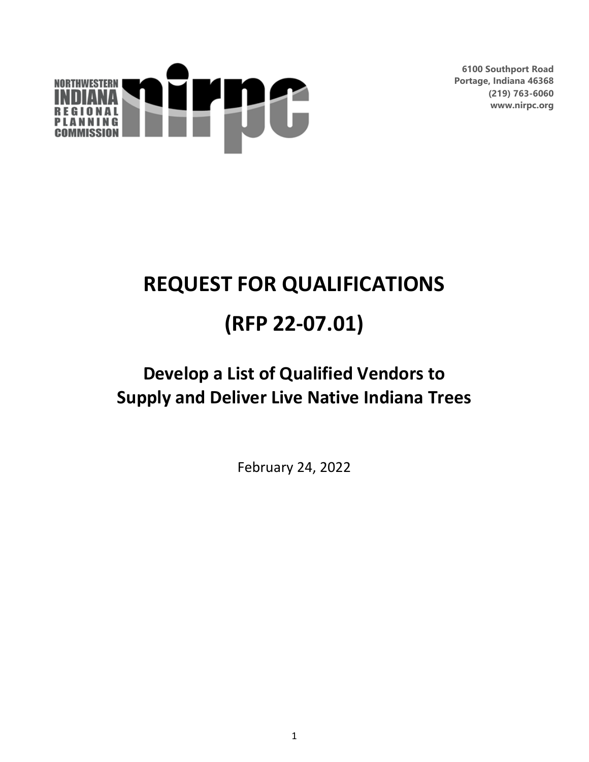

**6100 Southport Road Portage, Indiana 46368 (219) 763-6060 www.nirpc.org**

# **REQUEST FOR QUALIFICATIONS (RFP 22-07.01)**

# **Develop a List of Qualified Vendors to Supply and Deliver Live Native Indiana Trees**

February 24, 2022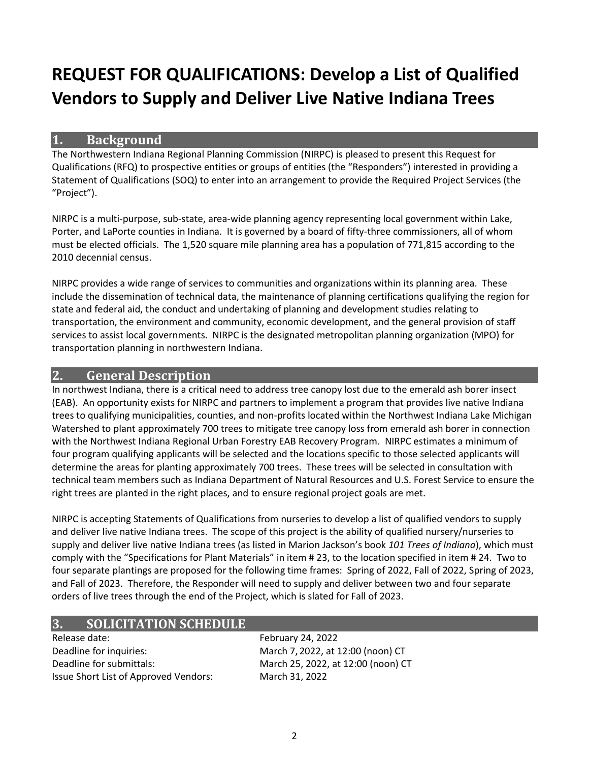# **REQUEST FOR QUALIFICATIONS: Develop a List of Qualified Vendors to Supply and Deliver Live Native Indiana Trees**

#### **1. Background**

The Northwestern Indiana Regional Planning Commission (NIRPC) is pleased to present this Request for Qualifications (RFQ) to prospective entities or groups of entities (the "Responders") interested in providing a Statement of Qualifications (SOQ) to enter into an arrangement to provide the Required Project Services (the "Project").

NIRPC is a multi-purpose, sub-state, area-wide planning agency representing local government within Lake, Porter, and LaPorte counties in Indiana. It is governed by a board of fifty-three commissioners, all of whom must be elected officials. The 1,520 square mile planning area has a population of 771,815 according to the 2010 decennial census.

NIRPC provides a wide range of services to communities and organizations within its planning area. These include the dissemination of technical data, the maintenance of planning certifications qualifying the region for state and federal aid, the conduct and undertaking of planning and development studies relating to transportation, the environment and community, economic development, and the general provision of staff services to assist local governments. NIRPC is the designated metropolitan planning organization (MPO) for transportation planning in northwestern Indiana.

# **2. General Description**

In northwest Indiana, there is a critical need to address tree canopy lost due to the emerald ash borer insect (EAB). An opportunity exists for NIRPC and partners to implement a program that provides live native Indiana trees to qualifying municipalities, counties, and non-profits located within the Northwest Indiana Lake Michigan Watershed to plant approximately 700 trees to mitigate tree canopy loss from emerald ash borer in connection with the Northwest Indiana Regional Urban Forestry EAB Recovery Program. NIRPC estimates a minimum of four program qualifying applicants will be selected and the locations specific to those selected applicants will determine the areas for planting approximately 700 trees. These trees will be selected in consultation with technical team members such as Indiana Department of Natural Resources and U.S. Forest Service to ensure the right trees are planted in the right places, and to ensure regional project goals are met.

NIRPC is accepting Statements of Qualifications from nurseries to develop a list of qualified vendors to supply and deliver live native Indiana trees. The scope of this project is the ability of qualified nursery/nurseries to supply and deliver live native Indiana trees (as listed in Marion Jackson's book *101 Trees of Indiana*), which must comply with the "Specifications for Plant Materials" in item # 23, to the location specified in item # 24. Two to four separate plantings are proposed for the following time frames: Spring of 2022, Fall of 2022, Spring of 2023, and Fall of 2023. Therefore, the Responder will need to supply and deliver between two and four separate orders of live trees through the end of the Project, which is slated for Fall of 2023.

# **3. SOLICITATION SCHEDULE**

Release date: February 24, 2022 Deadline for inquiries: March 7, 2022, at 12:00 (noon) CT Deadline for submittals: March 25, 2022, at 12:00 (noon) CT Issue Short List of Approved Vendors: March 31, 2022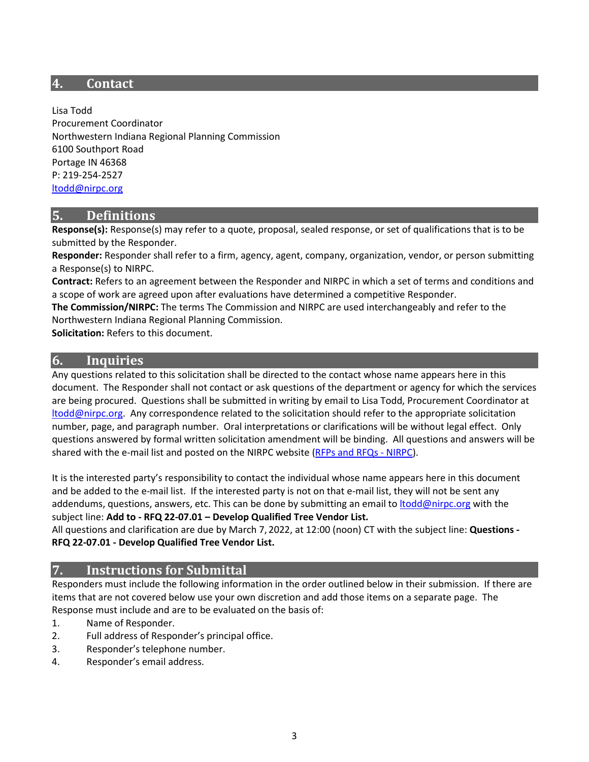#### **4. Contact**

Lisa Todd Procurement Coordinator Northwestern Indiana Regional Planning Commission 6100 Southport Road Portage IN 46368 P: 219-254-2527 [ltodd@nirpc.org](mailto:ltodd@nirpc.org)

#### **5. Definitions**

**Response(s):** Response(s) may refer to a quote, proposal, sealed response, or set of qualifications that is to be submitted by the Responder.

**Responder:** Responder shall refer to a firm, agency, agent, company, organization, vendor, or person submitting a Response(s) to NIRPC.

**Contract:** Refers to an agreement between the Responder and NIRPC in which a set of terms and conditions and a scope of work are agreed upon after evaluations have determined a competitive Responder.

**The Commission/NIRPC:** The terms The Commission and NIRPC are used interchangeably and refer to the Northwestern Indiana Regional Planning Commission.

**Solicitation:** Refers to this document.

# **6. Inquiries**

Any questions related to this solicitation shall be directed to the contact whose name appears here in this document. The Responder shall not contact or ask questions of the department or agency for which the services are being procured. Questions shall be submitted in writing by email to Lisa Todd, Procurement Coordinator at [ltodd@nirpc.org.](mailto:ltodd@nirpc.org) Any correspondence related to the solicitation should refer to the appropriate solicitation number, page, and paragraph number. Oral interpretations or clarifications will be without legal effect. Only questions answered by formal written solicitation amendment will be binding. All questions and answers will be shared with the e-mail list and posted on the NIRPC website [\(RFPs and RFQs -](https://nirpc.org/rfps-and-rfqs/) NIRPC).

It is the interested party's responsibility to contact the individual whose name appears here in this document and be added to the e-mail list. If the interested party is not on that e-mail list, they will not be sent any addendums, questions, answers, etc. This can be done by submitting an email to *Itodd@nirpc.org* with the subject line: **Add to - RFQ 22-07.01 – Develop Qualified Tree Vendor List.**

All questions and clarification are due by March 7, 2022, at 12:00 (noon) CT with the subject line: **Questions - RFQ 22-07.01 - Develop Qualified Tree Vendor List.**

#### **7. Instructions for Submittal**

Responders must include the following information in the order outlined below in their submission. If there are items that are not covered below use your own discretion and add those items on a separate page. The Response must include and are to be evaluated on the basis of:

- 1. Name of Responder.
- 2. Full address of Responder's principal office.
- 3. Responder's telephone number.
- 4. Responder's email address.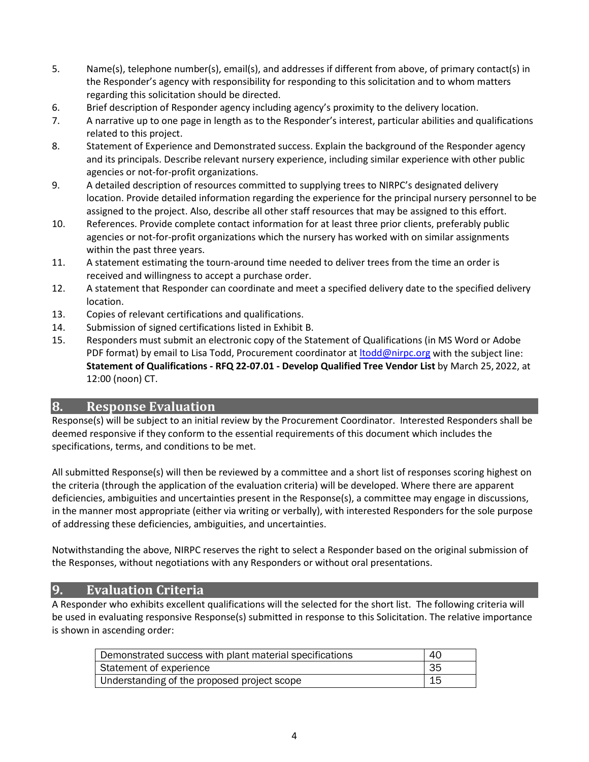- 5. Name(s), telephone number(s), email(s), and addresses if different from above, of primary contact(s) in the Responder's agency with responsibility for responding to this solicitation and to whom matters regarding this solicitation should be directed.
- 6. Brief description of Responder agency including agency's proximity to the delivery location.
- 7. A narrative up to one page in length as to the Responder's interest, particular abilities and qualifications related to this project.
- 8. Statement of Experience and Demonstrated success. Explain the background of the Responder agency and its principals. Describe relevant nursery experience, including similar experience with other public agencies or not-for-profit organizations.
- 9. A detailed description of resources committed to supplying trees to NIRPC's designated delivery location. Provide detailed information regarding the experience for the principal nursery personnel to be assigned to the project. Also, describe all other staff resources that may be assigned to this effort.
- 10. References. Provide complete contact information for at least three prior clients, preferably public agencies or not-for-profit organizations which the nursery has worked with on similar assignments within the past three years.
- 11. A statement estimating the tourn-around time needed to deliver trees from the time an order is received and willingness to accept a purchase order.
- 12. A statement that Responder can coordinate and meet a specified delivery date to the specified delivery location.
- 13. Copies of relevant certifications and qualifications.
- 14. Submission of signed certifications listed in Exhibit B.
- 15. Responders must submit an electronic copy of the Statement of Qualifications (in MS Word or Adobe PDF format) by email to Lisa Todd, Procurement coordinator at *Itodd@nirpc.org* with the subject line: **Statement of Qualifications - RFQ 22-07.01 - Develop Qualified Tree Vendor List** by March 25, 2022, at 12:00 (noon) CT.

#### **8. Response Evaluation**

Response(s) will be subject to an initial review by the Procurement Coordinator. Interested Responders shall be deemed responsive if they conform to the essential requirements of this document which includes the specifications, terms, and conditions to be met.

All submitted Response(s) will then be reviewed by a committee and a short list of responses scoring highest on the criteria (through the application of the evaluation criteria) will be developed. Where there are apparent deficiencies, ambiguities and uncertainties present in the Response(s), a committee may engage in discussions, in the manner most appropriate (either via writing or verbally), with interested Responders for the sole purpose of addressing these deficiencies, ambiguities, and uncertainties.

Notwithstanding the above, NIRPC reserves the right to select a Responder based on the original submission of the Responses, without negotiations with any Responders or without oral presentations.

#### **9. Evaluation Criteria**

A Responder who exhibits excellent qualifications will the selected for the short list. The following criteria will be used in evaluating responsive Response(s) submitted in response to this Solicitation. The relative importance is shown in ascending order:

| Demonstrated success with plant material specifications | 40 |
|---------------------------------------------------------|----|
| Statement of experience                                 | 35 |
| Understanding of the proposed project scope             | 15 |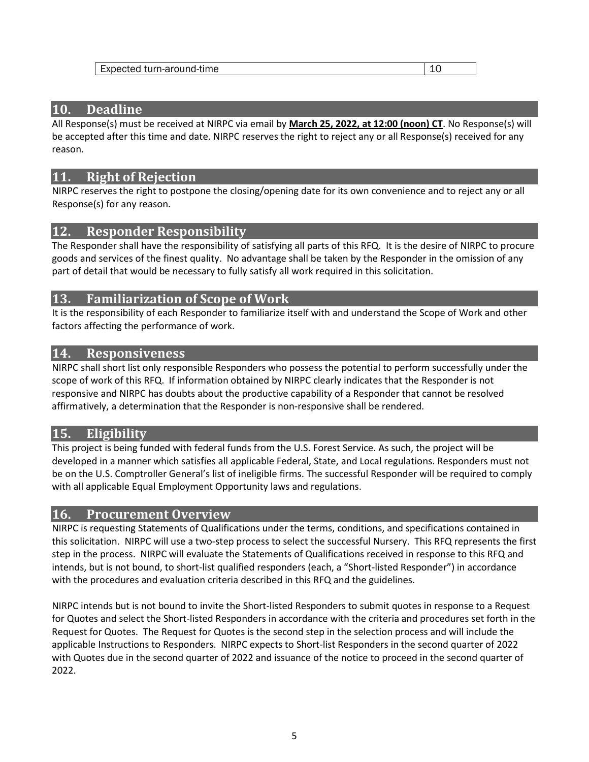| Expected turn-around-time | -- |
|---------------------------|----|
|---------------------------|----|

### **10. Deadline**

All Response(s) must be received at NIRPC via email by **March 25, 2022, at 12:00 (noon) CT**. No Response(s) will be accepted after this time and date. NIRPC reserves the right to reject any or all Response(s) received for any reason.

# **11. Right of Rejection**

NIRPC reserves the right to postpone the closing/opening date for its own convenience and to reject any or all Response(s) for any reason.

# **12. Responder Responsibility**

The Responder shall have the responsibility of satisfying all parts of this RFQ. It is the desire of NIRPC to procure goods and services of the finest quality. No advantage shall be taken by the Responder in the omission of any part of detail that would be necessary to fully satisfy all work required in this solicitation.

#### **13. Familiarization of Scope of Work**

It is the responsibility of each Responder to familiarize itself with and understand the Scope of Work and other factors affecting the performance of work.

#### **14. Responsiveness**

NIRPC shall short list only responsible Responders who possess the potential to perform successfully under the scope of work of this RFQ. If information obtained by NIRPC clearly indicates that the Responder is not responsive and NIRPC has doubts about the productive capability of a Responder that cannot be resolved affirmatively, a determination that the Responder is non-responsive shall be rendered.

# **15. Eligibility**

This project is being funded with federal funds from the U.S. Forest Service. As such, the project will be developed in a manner which satisfies all applicable Federal, State, and Local regulations. Responders must not be on the U.S. Comptroller General's list of ineligible firms. The successful Responder will be required to comply with all applicable Equal Employment Opportunity laws and regulations.

#### **16. Procurement Overview**

NIRPC is requesting Statements of Qualifications under the terms, conditions, and specifications contained in this solicitation. NIRPC will use a two-step process to select the successful Nursery. This RFQ represents the first step in the process. NIRPC will evaluate the Statements of Qualifications received in response to this RFQ and intends, but is not bound, to short-list qualified responders (each, a "Short-listed Responder") in accordance with the procedures and evaluation criteria described in this RFQ and the guidelines.

NIRPC intends but is not bound to invite the Short-listed Responders to submit quotes in response to a Request for Quotes and select the Short-listed Responders in accordance with the criteria and procedures set forth in the Request for Quotes. The Request for Quotes is the second step in the selection process and will include the applicable Instructions to Responders. NIRPC expects to Short-list Responders in the second quarter of 2022 with Quotes due in the second quarter of 2022 and issuance of the notice to proceed in the second quarter of 2022.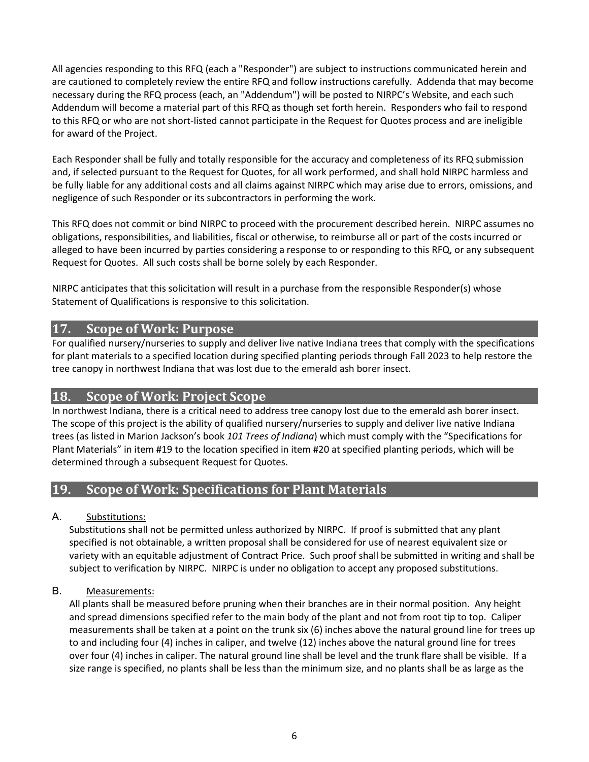All agencies responding to this RFQ (each a "Responder") are subject to instructions communicated herein and are cautioned to completely review the entire RFQ and follow instructions carefully. Addenda that may become necessary during the RFQ process (each, an "Addendum") will be posted to NIRPC's Website, and each such Addendum will become a material part of this RFQ as though set forth herein. Responders who fail to respond to this RFQ or who are not short-listed cannot participate in the Request for Quotes process and are ineligible for award of the Project.

Each Responder shall be fully and totally responsible for the accuracy and completeness of its RFQ submission and, if selected pursuant to the Request for Quotes, for all work performed, and shall hold NIRPC harmless and be fully liable for any additional costs and all claims against NIRPC which may arise due to errors, omissions, and negligence of such Responder or its subcontractors in performing the work.

This RFQ does not commit or bind NIRPC to proceed with the procurement described herein. NIRPC assumes no obligations, responsibilities, and liabilities, fiscal or otherwise, to reimburse all or part of the costs incurred or alleged to have been incurred by parties considering a response to or responding to this RFQ, or any subsequent Request for Quotes. All such costs shall be borne solely by each Responder.

NIRPC anticipates that this solicitation will result in a purchase from the responsible Responder(s) whose Statement of Qualifications is responsive to this solicitation.

#### **17. Scope of Work: Purpose**

For qualified nursery/nurseries to supply and deliver live native Indiana trees that comply with the specifications for plant materials to a specified location during specified planting periods through Fall 2023 to help restore the tree canopy in northwest Indiana that was lost due to the emerald ash borer insect.

# **18. Scope of Work: Project Scope**

In northwest Indiana, there is a critical need to address tree canopy lost due to the emerald ash borer insect. The scope of this project is the ability of qualified nursery/nurseries to supply and deliver live native Indiana trees (as listed in Marion Jackson's book *101 Trees of Indiana*) which must comply with the "Specifications for Plant Materials" in item #19 to the location specified in item #20 at specified planting periods, which will be determined through a subsequent Request for Quotes.

# **19. Scope of Work: Specifications for Plant Materials**

#### A. Substitutions:

Substitutions shall not be permitted unless authorized by NIRPC. If proof is submitted that any plant specified is not obtainable, a written proposal shall be considered for use of nearest equivalent size or variety with an equitable adjustment of Contract Price. Such proof shall be submitted in writing and shall be subject to verification by NIRPC. NIRPC is under no obligation to accept any proposed substitutions.

#### B. Measurements:

All plants shall be measured before pruning when their branches are in their normal position. Any height and spread dimensions specified refer to the main body of the plant and not from root tip to top. Caliper measurements shall be taken at a point on the trunk six (6) inches above the natural ground line for trees up to and including four (4) inches in caliper, and twelve (12) inches above the natural ground line for trees over four (4) inches in caliper. The natural ground line shall be level and the trunk flare shall be visible. If a size range is specified, no plants shall be less than the minimum size, and no plants shall be as large as the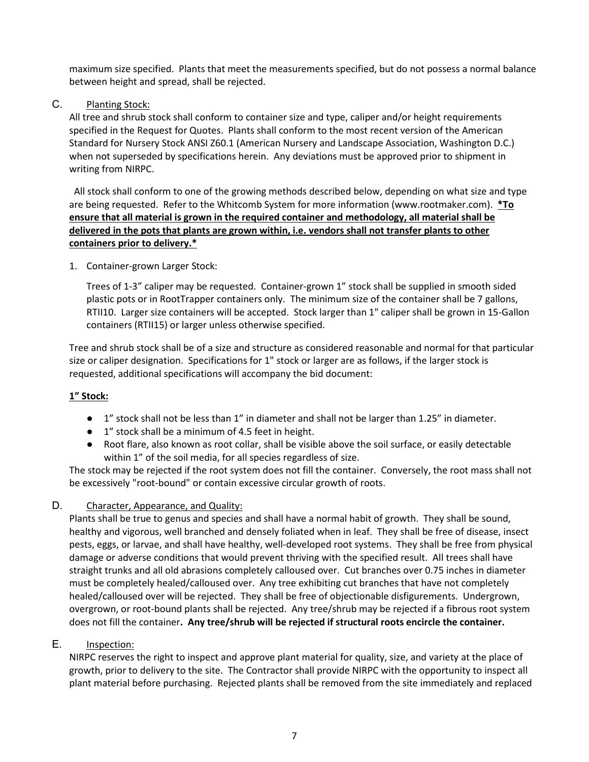maximum size specified. Plants that meet the measurements specified, but do not possess a normal balance between height and spread, shall be rejected.

C. Planting Stock:

All tree and shrub stock shall conform to container size and type, caliper and/or height requirements specified in the Request for Quotes. Plants shall conform to the most recent version of the American Standard for Nursery Stock ANSI Z60.1 (American Nursery and Landscape Association, Washington D.C.) when not superseded by specifications herein. Any deviations must be approved prior to shipment in writing from NIRPC.

 All stock shall conform to one of the growing methods described below, depending on what size and type are being requested. Refer to the Whitcomb System for more information [\(www.rootmaker.com\)](http://www.rootmaker.com/). **\*To ensure that all material is grown in the required container and methodology, all material shall be delivered in the pots that plants are grown within, i.e. vendors shall not transfer plants to other containers prior to delivery.\***

1. Container-grown Larger Stock:

Trees of 1-3" caliper may be requested. Container-grown 1" stock shall be supplied in smooth sided plastic pots or in RootTrapper containers only. The minimum size of the container shall be 7 gallons, RTII10. Larger size containers will be accepted. Stock larger than 1" caliper shall be grown in 15-Gallon containers (RTII15) or larger unless otherwise specified.

Tree and shrub stock shall be of a size and structure as considered reasonable and normal for that particular size or caliper designation. Specifications for 1" stock or larger are as follows, if the larger stock is requested, additional specifications will accompany the bid document:

#### **1" Stock:**

- 1" stock shall not be less than 1" in diameter and shall not be larger than 1.25" in diameter.
- 1" stock shall be a minimum of 4.5 feet in height.
- Root flare, also known as root collar, shall be visible above the soil surface, or easily detectable within 1" of the soil media, for all species regardless of size.

The stock may be rejected if the root system does not fill the container. Conversely, the root mass shall not be excessively "root-bound" or contain excessive circular growth of roots.

#### D. Character, Appearance, and Quality:

Plants shall be true to genus and species and shall have a normal habit of growth. They shall be sound, healthy and vigorous, well branched and densely foliated when in leaf. They shall be free of disease, insect pests, eggs, or larvae, and shall have healthy, well-developed root systems. They shall be free from physical damage or adverse conditions that would prevent thriving with the specified result. All trees shall have straight trunks and all old abrasions completely calloused over. Cut branches over 0.75 inches in diameter must be completely healed/calloused over. Any tree exhibiting cut branches that have not completely healed/calloused over will be rejected. They shall be free of objectionable disfigurements. Undergrown, overgrown, or root-bound plants shall be rejected. Any tree/shrub may be rejected if a fibrous root system does not fill the container**. Any tree/shrub will be rejected if structural roots encircle the container.**

#### E. Inspection:

NIRPC reserves the right to inspect and approve plant material for quality, size, and variety at the place of growth, prior to delivery to the site. The Contractor shall provide NIRPC with the opportunity to inspect all plant material before purchasing. Rejected plants shall be removed from the site immediately and replaced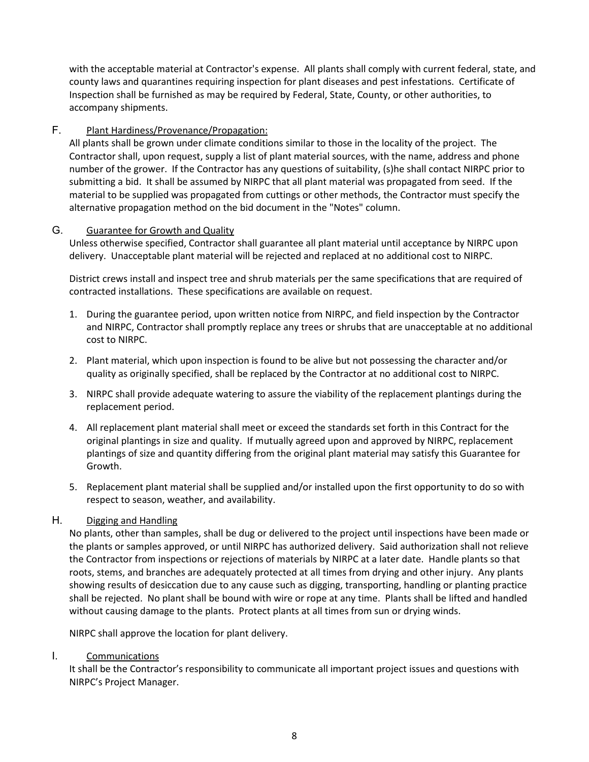with the acceptable material at Contractor's expense. All plants shall comply with current federal, state, and county laws and quarantines requiring inspection for plant diseases and pest infestations. Certificate of Inspection shall be furnished as may be required by Federal, State, County, or other authorities, to accompany shipments.

#### F. Plant Hardiness/Provenance/Propagation:

All plants shall be grown under climate conditions similar to those in the locality of the project. The Contractor shall, upon request, supply a list of plant material sources, with the name, address and phone number of the grower. If the Contractor has any questions of suitability, (s)he shall contact NIRPC prior to submitting a bid. It shall be assumed by NIRPC that all plant material was propagated from seed. If the material to be supplied was propagated from cuttings or other methods, the Contractor must specify the alternative propagation method on the bid document in the "Notes" column.

#### G. Guarantee for Growth and Quality

Unless otherwise specified, Contractor shall guarantee all plant material until acceptance by NIRPC upon delivery. Unacceptable plant material will be rejected and replaced at no additional cost to NIRPC.

District crews install and inspect tree and shrub materials per the same specifications that are required of contracted installations. These specifications are available on request.

- 1. During the guarantee period, upon written notice from NIRPC, and field inspection by the Contractor and NIRPC, Contractor shall promptly replace any trees or shrubs that are unacceptable at no additional cost to NIRPC.
- 2. Plant material, which upon inspection is found to be alive but not possessing the character and/or quality as originally specified, shall be replaced by the Contractor at no additional cost to NIRPC.
- 3. NIRPC shall provide adequate watering to assure the viability of the replacement plantings during the replacement period.
- 4. All replacement plant material shall meet or exceed the standards set forth in this Contract for the original plantings in size and quality. If mutually agreed upon and approved by NIRPC, replacement plantings of size and quantity differing from the original plant material may satisfy this Guarantee for Growth.
- 5. Replacement plant material shall be supplied and/or installed upon the first opportunity to do so with respect to season, weather, and availability.

#### H. Digging and Handling

No plants, other than samples, shall be dug or delivered to the project until inspections have been made or the plants or samples approved, or until NIRPC has authorized delivery. Said authorization shall not relieve the Contractor from inspections or rejections of materials by NIRPC at a later date. Handle plants so that roots, stems, and branches are adequately protected at all times from drying and other injury. Any plants showing results of desiccation due to any cause such as digging, transporting, handling or planting practice shall be rejected. No plant shall be bound with wire or rope at any time. Plants shall be lifted and handled without causing damage to the plants. Protect plants at all times from sun or drying winds.

NIRPC shall approve the location for plant delivery.

#### I. Communications

It shall be the Contractor's responsibility to communicate all important project issues and questions with NIRPC's Project Manager.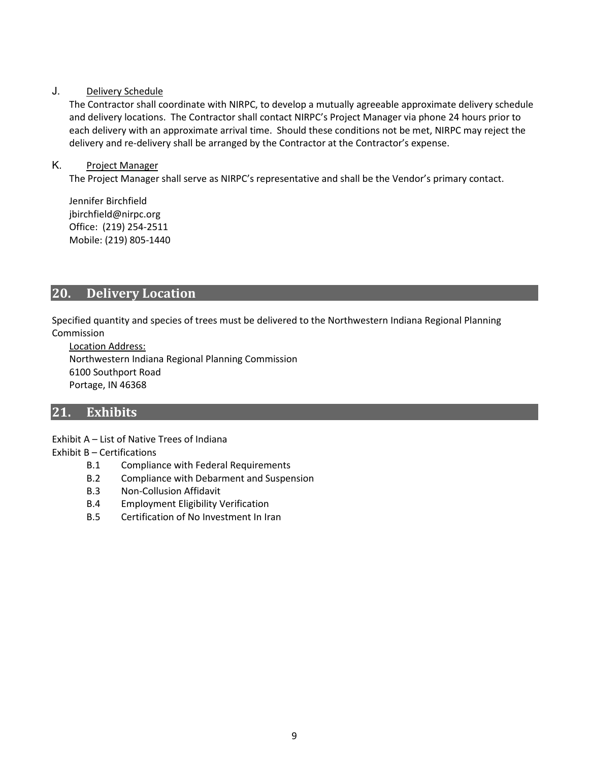#### J. Delivery Schedule

The Contractor shall coordinate with NIRPC, to develop a mutually agreeable approximate delivery schedule and delivery locations. The Contractor shall contact NIRPC's Project Manager via phone 24 hours prior to each delivery with an approximate arrival time. Should these conditions not be met, NIRPC may reject the delivery and re-delivery shall be arranged by the Contractor at the Contractor's expense.

#### K. Project Manager

The Project Manager shall serve as NIRPC's representative and shall be the Vendor's primary contact.

Jennifer Birchfield jbirchfield@nirpc.org Office: (219) 254-2511 Mobile: (219) 805-1440

#### **20. Delivery Location**

Specified quantity and species of trees must be delivered to the Northwestern Indiana Regional Planning Commission

Location Address: Northwestern Indiana Regional Planning Commission 6100 Southport Road Portage, IN 46368

#### **21. Exhibits**

Exhibit A – List of Native Trees of Indiana

#### Exhibit B – Certifications

- B.1 Compliance with Federal Requirements
- B.2 Compliance with Debarment and Suspension
- B.3 Non-Collusion Affidavit
- B.4 Employment Eligibility Verification
- B.5 Certification of No Investment In Iran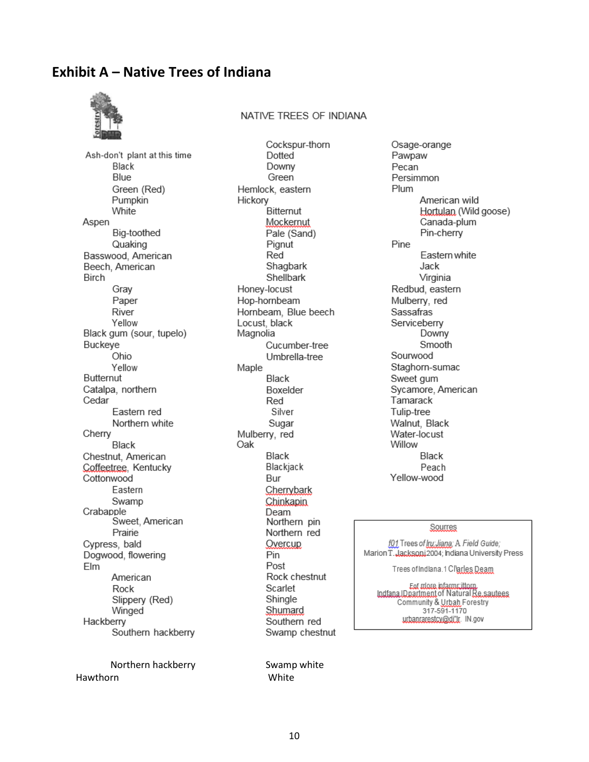# **Exhibit A – Native Trees of Indiana**



#### NATIVE TREES OF INDIANA

Ash-don't plant at this time Black **Blue** Green (Red) Pumpkin White Aspen Big-toothed Quaking Basswood, American Beech, American **Birch** Gray Paper River Yellow Black gum (sour, tupelo) Buckeye Ohio Yellow **Butternut** Catalpa, northern Cedar Eastern red Northern white Cherry Black Chestnut, American Coffeetree, Kentucky Cottonwood Eastern Swamp Crabapple Sweet, American Prairie Cypress, bald Dogwood, flowering Elm American Rock Slippery (Red) Winged Hackberry Southern hackberry

Northern hackberry Swamp white Hawthorn White

Cockspur-thorn Dotted Downy Green Hemlock, eastern Hickory **Bitternut** Mockernut Pale (Sand) Pignut Red Shagbark Shellbark Honey-locust Hop-hornbeam Hornbeam, Blue beech Locust, black Magnolia Cucumber-tree Umbrella-tree Maple Black Boxelder Red Silver Sugar Mulberry, red Oak Black Blackjack Bur Cherrybark Chinkapin **Deam** Northern pin Northern red Overcup Pin Post Rock chestnut Scarlet Shingle Shumard Southern red Swamp chestnut

Osage-orange Pawpaw Pecan Persimmon Plum American wild Hortulan. (Wild goose) Canada-plum Pin-cherry Pine Eastern white Jack Virginia Redbud, eastern Mulberry, red Sassafras Serviceberry Downy Smooth Sourwood Staghorn-sumac Sweet gum Sycamore, American Tamarack Tulip-tree Walnut, Black Water-locust Willow Black Peach Yellow-wood

#### Sourres

f01 Trees of Iru Jiana: A Field Guide;<br>Marion T. Jacksoni 2004; Indiana University Press

Trees of Indiana. 1 Clarles Deam

Ext more information.<br>IndianalDoartment of Natural Re.sautees Community & Urbah Forestry 317-591-1170 urbanrarestcv@di'lr. IN.gov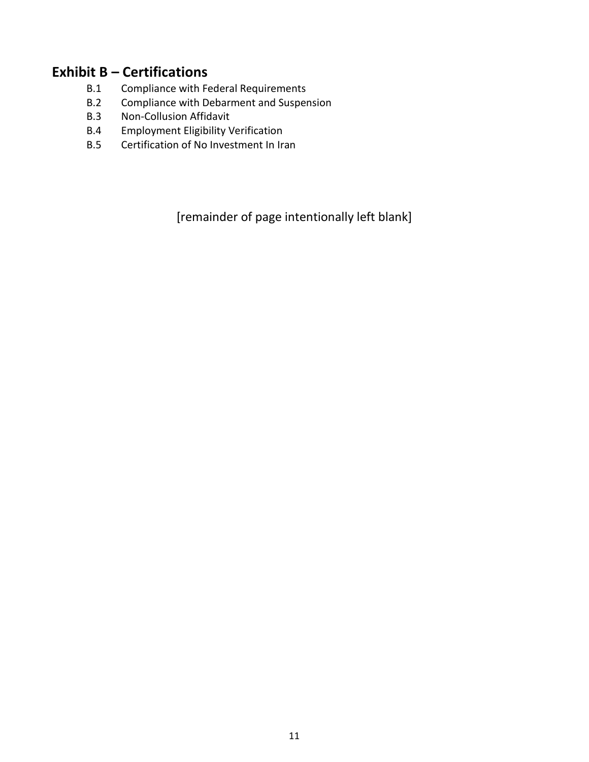# **Exhibit B – Certifications**

- B.1 Compliance with Federal Requirements
- B.2 Compliance with Debarment and Suspension
- B.3 Non-Collusion Affidavit
- B.4 Employment Eligibility Verification
- B.5 Certification of No Investment In Iran

[remainder of page intentionally left blank]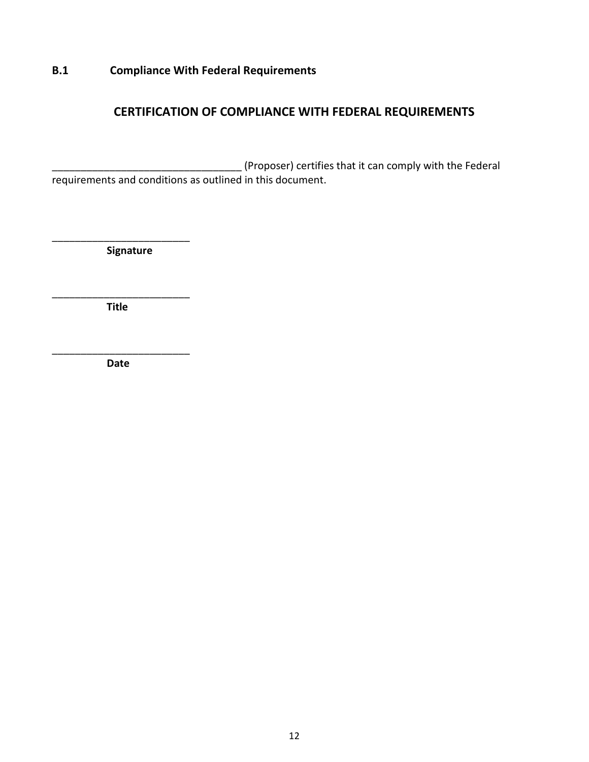# **B.1 Compliance With Federal Requirements**

# **CERTIFICATION OF COMPLIANCE WITH FEDERAL REQUIREMENTS**

\_\_\_\_\_\_\_\_\_\_\_\_\_\_\_\_\_\_\_\_\_\_\_\_\_\_\_\_\_\_\_\_\_ (Proposer) certifies that it can comply with the Federal requirements and conditions as outlined in this document.

 **Signature**

\_\_\_\_\_\_\_\_\_\_\_\_\_\_\_\_\_\_\_\_\_\_\_\_

\_\_\_\_\_\_\_\_\_\_\_\_\_\_\_\_\_\_\_\_\_\_\_\_  **Title**

\_\_\_\_\_\_\_\_\_\_\_\_\_\_\_\_\_\_\_\_\_\_\_\_ **Date**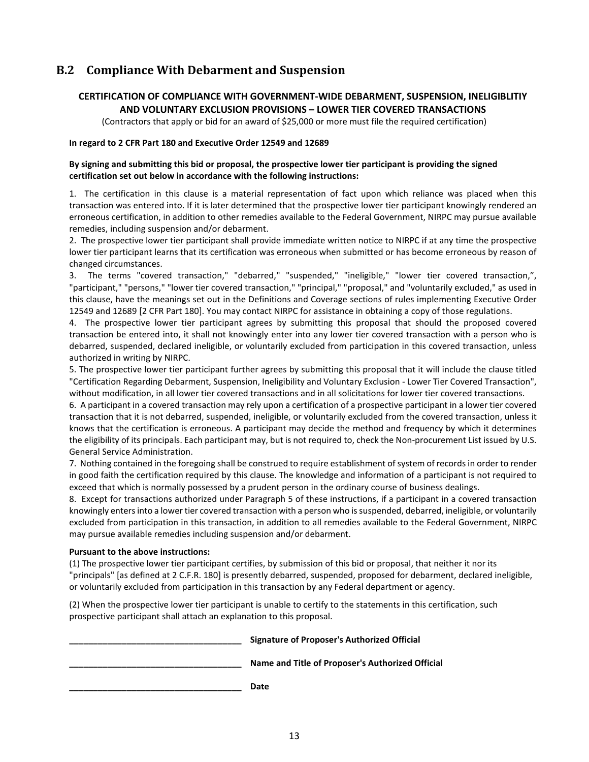# **B.2 Compliance With Debarment and Suspension**

#### **CERTIFICATION OF COMPLIANCE WITH GOVERNMENT-WIDE DEBARMENT, SUSPENSION, INELIGIBLITIY AND VOLUNTARY EXCLUSION PROVISIONS – LOWER TIER COVERED TRANSACTIONS**

(Contractors that apply or bid for an award of \$25,000 or more must file the required certification)

#### **In regard to 2 CFR Part 180 and Executive Order 12549 and 12689**

#### **By signing and submitting this bid or proposal, the prospective lower tier participant is providing the signed certification set out below in accordance with the following instructions:**

1. The certification in this clause is a material representation of fact upon which reliance was placed when this transaction was entered into. If it is later determined that the prospective lower tier participant knowingly rendered an erroneous certification, in addition to other remedies available to the Federal Government, NIRPC may pursue available remedies, including suspension and/or debarment.

2. The prospective lower tier participant shall provide immediate written notice to NIRPC if at any time the prospective lower tier participant learns that its certification was erroneous when submitted or has become erroneous by reason of changed circumstances.

3. The terms "covered transaction," "debarred," "suspended," "ineligible," "lower tier covered transaction,", "participant," "persons," "lower tier covered transaction," "principal," "proposal," and "voluntarily excluded," as used in this clause, have the meanings set out in the Definitions and Coverage sections of rules implementing Executive Order 12549 and 12689 [2 CFR Part 180]. You may contact NIRPC for assistance in obtaining a copy of those regulations.

4. The prospective lower tier participant agrees by submitting this proposal that should the proposed covered transaction be entered into, it shall not knowingly enter into any lower tier covered transaction with a person who is debarred, suspended, declared ineligible, or voluntarily excluded from participation in this covered transaction, unless authorized in writing by NIRPC.

5. The prospective lower tier participant further agrees by submitting this proposal that it will include the clause titled "Certification Regarding Debarment, Suspension, Ineligibility and Voluntary Exclusion - Lower Tier Covered Transaction", without modification, in all lower tier covered transactions and in all solicitations for lower tier covered transactions.

6. A participant in a covered transaction may rely upon a certification of a prospective participant in a lower tier covered transaction that it is not debarred, suspended, ineligible, or voluntarily excluded from the covered transaction, unless it knows that the certification is erroneous. A participant may decide the method and frequency by which it determines the eligibility of its principals. Each participant may, but is not required to, check the Non-procurement List issued by U.S. General Service Administration.

7. Nothing contained in the foregoing shall be construed to require establishment of system of records in order to render in good faith the certification required by this clause. The knowledge and information of a participant is not required to exceed that which is normally possessed by a prudent person in the ordinary course of business dealings.

8. Except for transactions authorized under Paragraph 5 of these instructions, if a participant in a covered transaction knowingly enters into a lower tier covered transaction with a person who is suspended, debarred, ineligible, or voluntarily excluded from participation in this transaction, in addition to all remedies available to the Federal Government, NIRPC may pursue available remedies including suspension and/or debarment.

#### **Pursuant to the above instructions:**

(1) The prospective lower tier participant certifies, by submission of this bid or proposal, that neither it nor its "principals" [as defined at 2 C.F.R. 180] is presently debarred, suspended, proposed for debarment, declared ineligible, or voluntarily excluded from participation in this transaction by any Federal department or agency.

(2) When the prospective lower tier participant is unable to certify to the statements in this certification, such prospective participant shall attach an explanation to this proposal.

| Signature of Proposer's Authorized Official      |
|--------------------------------------------------|
| Name and Title of Proposer's Authorized Official |
| Date                                             |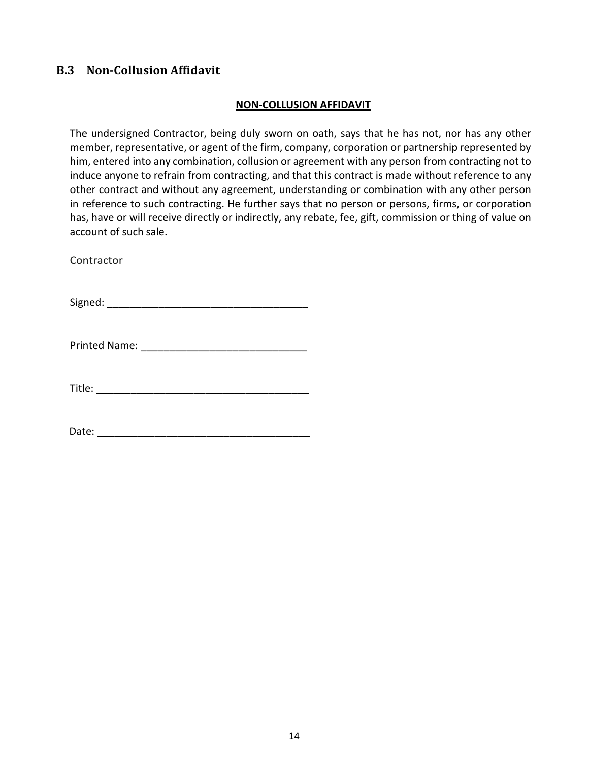# **B.3 Non-Collusion Affidavit**

#### **NON-COLLUSION AFFIDAVIT**

The undersigned Contractor, being duly sworn on oath, says that he has not, nor has any other member, representative, or agent of the firm, company, corporation or partnership represented by him, entered into any combination, collusion or agreement with any person from contracting not to induce anyone to refrain from contracting, and that this contract is made without reference to any other contract and without any agreement, understanding or combination with any other person in reference to such contracting. He further says that no person or persons, firms, or corporation has, have or will receive directly or indirectly, any rebate, fee, gift, commission or thing of value on account of such sale.

**Contractor** 

 $Signed:$ 

Printed Name: \_\_\_\_\_\_\_\_\_\_\_\_\_\_\_\_\_\_\_\_\_\_\_\_\_\_\_\_\_

Title: \_\_\_\_\_\_\_\_\_\_\_\_\_\_\_\_\_\_\_\_\_\_\_\_\_\_\_\_\_\_\_\_\_\_\_\_\_

Date: \_\_\_\_\_\_\_\_\_\_\_\_\_\_\_\_\_\_\_\_\_\_\_\_\_\_\_\_\_\_\_\_\_\_\_\_\_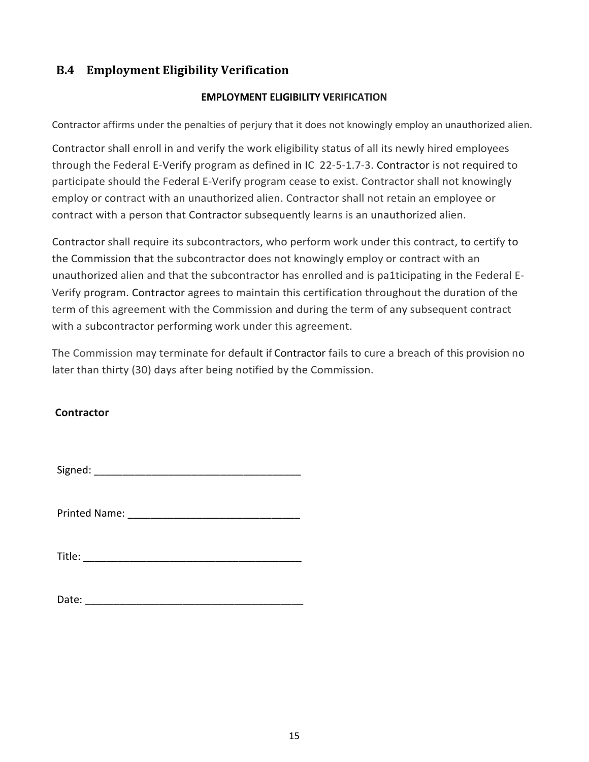# **B.4 Employment Eligibility Verification**

#### **EMPLOYMENT ELIGIBILITY VERIFICATION**

Contractor affirms under the penalties of perjury that it does not knowingly employ an unauthorized alien.

Contractor shall enroll in and verify the work eligibility status of all its newly hired employees through the Federal E-Verify program as defined in IC 22-5-1.7-3. Contractor is not required to participate should the Federal E-Verify program cease to exist. Contractor shall not knowingly employ or contract with an unauthorized alien. Contractor shall not retain an employee or contract with a person that Contractor subsequently learns is an unauthorized alien.

Contractor shall require its subcontractors, who perform work under this contract, to certify to the Commission that the subcontractor does not knowingly employ or contract with an unauthorized alien and that the subcontractor has enrolled and is pa1ticipating in the Federal E-Verify program. Contractor agrees to maintain this certification throughout the duration of the term of this agreement with the Commission and during the term of any subsequent contract with a subcontractor performing work under this agreement.

The Commission may terminate for default if Contractor fails to cure a breach of this provision no later than thirty (30) days after being notified by the Commission.

#### **Contractor**

Signed: \_\_\_\_\_\_\_\_\_\_\_\_\_\_\_\_\_\_\_\_\_\_\_\_\_\_\_\_\_\_\_\_\_\_\_\_

Printed Name: \_\_\_\_\_\_\_\_\_\_\_\_\_\_\_\_\_\_\_\_\_\_\_\_\_\_\_\_\_\_

 $\blacksquare$  Title:

Date: \_\_\_\_\_\_\_\_\_\_\_\_\_\_\_\_\_\_\_\_\_\_\_\_\_\_\_\_\_\_\_\_\_\_\_\_\_\_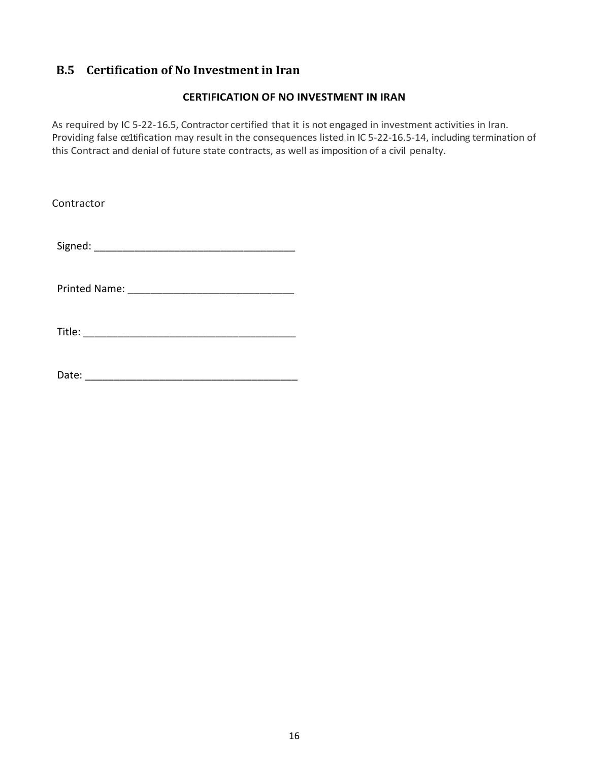# **B.5 Certification of No Investment in Iran**

#### **CERTIFICATION OF NO INVESTMENT IN IRAN**

As required by IC 5-22-16.5, Contractor certified that it is not engaged in investment activities in Iran. Providing false ce1tification may result in the consequences listed in IC 5-22-16.5-14, including termination of this Contract and denial of future state contracts, as well as imposition of a civil penalty.

Contractor Signed: \_\_\_\_\_\_\_\_\_\_\_\_\_\_\_\_\_\_\_\_\_\_\_\_\_\_\_\_\_\_\_\_\_\_\_ Printed Name: \_\_\_\_\_\_\_\_\_\_\_\_\_\_\_\_\_\_\_\_\_\_\_\_\_\_\_\_\_ Title: \_\_\_\_\_\_\_\_\_\_\_\_\_\_\_\_\_\_\_\_\_\_\_\_\_\_\_\_\_\_\_\_\_\_\_\_\_

Date: \_\_\_\_\_\_\_\_\_\_\_\_\_\_\_\_\_\_\_\_\_\_\_\_\_\_\_\_\_\_\_\_\_\_\_\_\_